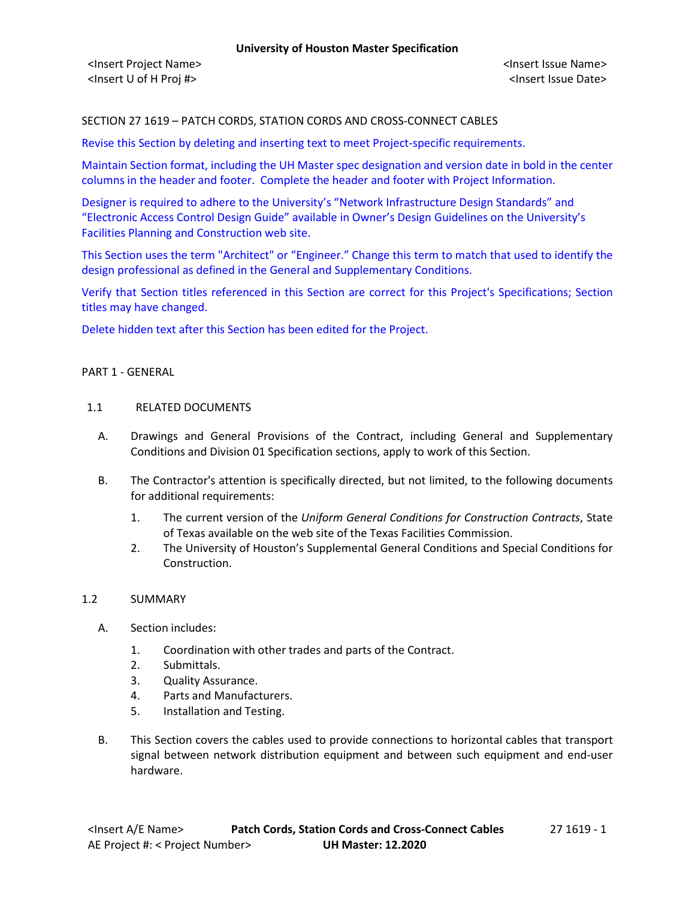# SECTION 27 1619 – PATCH CORDS, STATION CORDS AND CROSS-CONNECT CABLES

Revise this Section by deleting and inserting text to meet Project-specific requirements.

Maintain Section format, including the UH Master spec designation and version date in bold in the center columns in the header and footer. Complete the header and footer with Project Information.

Designer is required to adhere to the University's "Network Infrastructure Design Standards" and "Electronic Access Control Design Guide" available in Owner's Design Guidelines on the University's Facilities Planning and Construction web site.

This Section uses the term "Architect" or "Engineer." Change this term to match that used to identify the design professional as defined in the General and Supplementary Conditions.

Verify that Section titles referenced in this Section are correct for this Project's Specifications; Section titles may have changed.

Delete hidden text after this Section has been edited for the Project.

#### PART 1 - GENERAL

#### 1.1 RELATED DOCUMENTS

- A. Drawings and General Provisions of the Contract, including General and Supplementary Conditions and Division 01 Specification sections, apply to work of this Section.
- B. The Contractor's attention is specifically directed, but not limited, to the following documents for additional requirements:
	- 1. The current version of the *Uniform General Conditions for Construction Contracts*, State of Texas available on the web site of the Texas Facilities Commission.
	- 2. The University of Houston's Supplemental General Conditions and Special Conditions for Construction.

### 1.2 SUMMARY

- A. Section includes:
	- 1. Coordination with other trades and parts of the Contract.
	- 2. Submittals.
	- 3. Quality Assurance.
	- 4. Parts and Manufacturers.
	- 5. Installation and Testing.
- B. This Section covers the cables used to provide connections to horizontal cables that transport signal between network distribution equipment and between such equipment and end-user hardware.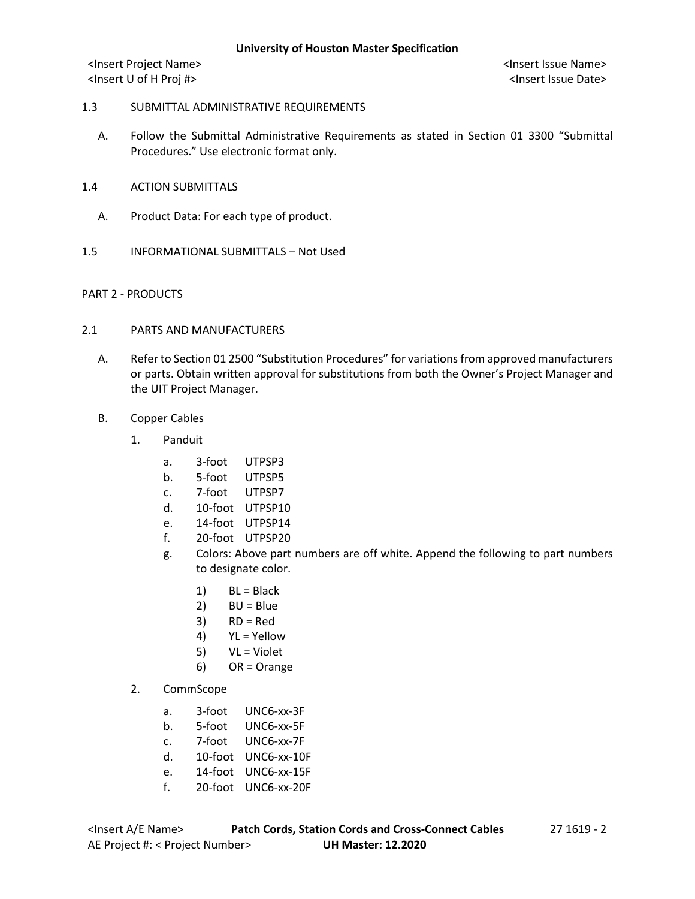<Insert Project Name> <Insert Issue Name> <Insert U of H Proj #> <Insert Issue Date>

## 1.3 SUBMITTAL ADMINISTRATIVE REQUIREMENTS

- A. Follow the Submittal Administrative Requirements as stated in Section 01 3300 "Submittal Procedures." Use electronic format only.
- 1.4 ACTION SUBMITTALS
	- A. Product Data: For each type of product.
- 1.5 INFORMATIONAL SUBMITTALS Not Used

### PART 2 - PRODUCTS

- 2.1 PARTS AND MANUFACTURERS
	- A. Refer to Section 01 2500 "Substitution Procedures" for variations from approved manufacturers or parts. Obtain written approval for substitutions from both the Owner's Project Manager and the UIT Project Manager.
	- B. Copper Cables
		- 1. Panduit
			- a. 3-foot UTPSP3
			- b. 5-foot UTPSP5
			- c. 7-foot UTPSP7
			- d. 10-foot UTPSP10
			- e. 14-foot UTPSP14
			- f. 20-foot UTPSP20
			- g. Colors: Above part numbers are off white. Append the following to part numbers to designate color.
				- $1)$  BL = Black
				- $2)$  BU = Blue
				- $3)$   $RD = Red$
				- 4) YL = Yellow
				- 5) VL = Violet
				- 6) OR = Orange
		- 2. CommScope
			- a. 3-foot UNC6-xx-3F
			- b. 5-foot UNC6-xx-5F
			- c. 7-foot UNC6-xx-7F
			- d. 10-foot UNC6-xx-10F
			- e. 14-foot UNC6-xx-15F
			- f. 20-foot UNC6-xx-20F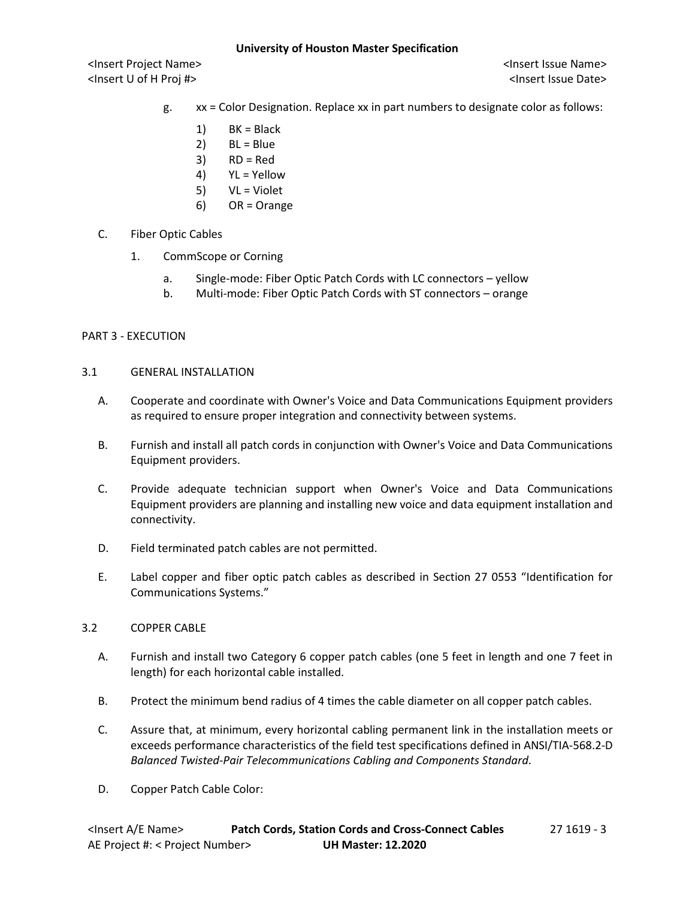### **University of Houston Master Specification**

<Insert Project Name> <Insert Issue Name> <Insert U of H Proj #> <Insert Issue Date>

- g. xx = Color Designation. Replace xx in part numbers to designate color as follows:
	- 1)  $BK = Black$
	- $2)$  BL = Blue
	- $3)$   $RD = Red$
	- 4) YL = Yellow
	- 5) VL = Violet
	- 6) OR = Orange
- C. Fiber Optic Cables
	- 1. CommScope or Corning
		- a. Single-mode: Fiber Optic Patch Cords with LC connectors yellow
		- b. Multi-mode: Fiber Optic Patch Cords with ST connectors orange

# PART 3 - EXECUTION

## 3.1 GENERAL INSTALLATION

- A. Cooperate and coordinate with Owner's Voice and Data Communications Equipment providers as required to ensure proper integration and connectivity between systems.
- B. Furnish and install all patch cords in conjunction with Owner's Voice and Data Communications Equipment providers.
- C. Provide adequate technician support when Owner's Voice and Data Communications Equipment providers are planning and installing new voice and data equipment installation and connectivity.
- D. Field terminated patch cables are not permitted.
- E. Label copper and fiber optic patch cables as described in Section 27 0553 "Identification for Communications Systems."

# 3.2 COPPER CABLE

- A. Furnish and install two Category 6 copper patch cables (one 5 feet in length and one 7 feet in length) for each horizontal cable installed.
- B. Protect the minimum bend radius of 4 times the cable diameter on all copper patch cables.
- C. Assure that, at minimum, every horizontal cabling permanent link in the installation meets or exceeds performance characteristics of the field test specifications defined in ANSI/TIA-568.2-D *Balanced Twisted-Pair Telecommunications Cabling and Components Standard*.
- D. Copper Patch Cable Color: